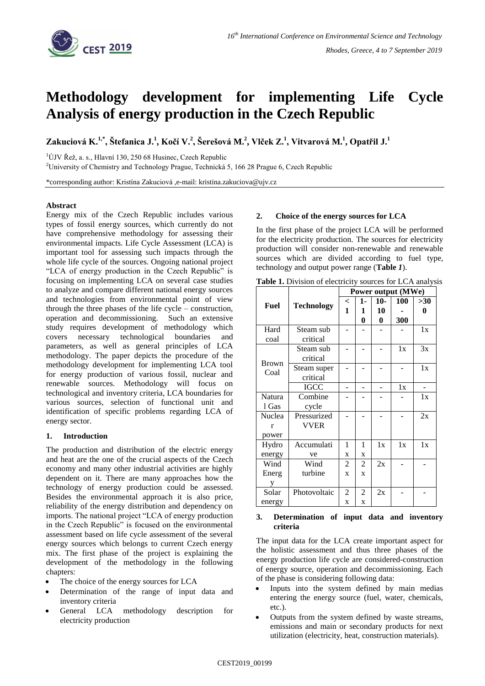

# **Methodology development for implementing Life Cycle Analysis of energy production in the Czech Republic**

Zakuciová K.<sup>1,\*</sup>, Štefanica J.<sup>1</sup>, Kočí V.<sup>2</sup>, Šerešová M.<sup>2</sup>, Vlček Z.<sup>1</sup>, Vitvarová M.<sup>1</sup>, Opatřil J.<sup>1</sup>

 $1$ ÚJV Řež, a. s., Hlavní 130, 250 68 Husinec, Czech Republic

<sup>2</sup>University of Chemistry and Technology Prague, Technická 5, 166 28 Prague 6, Czech Republic

\*corresponding author: Kristína Zakuciová ,e-mail: kristina.zakuciova@ujv.cz

# **Abstract**

Energy mix of the Czech Republic includes various types of fossil energy sources, which currently do not have comprehensive methodology for assessing their environmental impacts. Life Cycle Assessment (LCA) is important tool for assessing such impacts through the whole life cycle of the sources. Ongoing national project "LCA of energy production in the Czech Republic" is focusing on implementing LCA on several case studies to analyze and compare different national energy sources and technologies from environmental point of view through the three phases of the life cycle – construction, operation and decommissioning. Such an extensive study requires development of methodology which covers necessary technological boundaries and parameters, as well as general principles of LCA methodology. The paper depicts the procedure of the methodology development for implementing LCA tool for energy production of various fossil, nuclear and renewable sources. Methodology will focus on technological and inventory criteria, LCA boundaries for various sources, selection of functional unit and identification of specific problems regarding LCA of energy sector.

# **1. Introduction**

The production and distribution of the electric energy and heat are the one of the crucial aspects of the Czech economy and many other industrial activities are highly dependent on it. There are many approaches how the technology of energy production could be assessed. Besides the environmental approach it is also price, reliability of the energy distribution and dependency on imports. The national project "LCA of energy production in the Czech Republic" is focused on the environmental assessment based on life cycle assessment of the several energy sources which belongs to current Czech energy mix. The first phase of the project is explaining the development of the methodology in the following chapters:

- The choice of the energy sources for LCA
- Determination of the range of input data and inventory criteria
- General LCA methodology description for electricity production

# **2. Choice of the energy sources for LCA**

In the first phase of the project LCA will be performed for the electricity production. The sources for electricity production will consider non-renewable and renewable sources which are divided according to fuel type, technology and output power range (**[Table](#page-0-0)** *1*).

<span id="page-0-0"></span>**Table 1.** Division of electricity sources for LCA analysis

| Fuel                 | <b>Technology</b> | Power output (MWe) |             |          |     |     |
|----------------------|-------------------|--------------------|-------------|----------|-----|-----|
|                      |                   | $\,<\,$            | 1-          | $10-$    | 100 | >30 |
|                      |                   | 1                  | 1           | 10       |     | 0   |
|                      |                   |                    | 0           | $\bf{0}$ | 300 |     |
| Hard                 | Steam sub         |                    |             |          |     | 1x  |
| coal                 | critical          |                    |             |          |     |     |
| <b>Brown</b><br>Coal | Steam sub         |                    |             |          | 1x  | 3x  |
|                      | critical          |                    |             |          |     |     |
|                      | Steam super       |                    |             |          |     | 1x  |
|                      | critical          |                    |             |          |     |     |
|                      | <b>IGCC</b>       |                    |             |          | 1x  |     |
| Natura               | Combine           |                    |             |          |     | 1x  |
| 1 Gas                | cycle             |                    |             |          |     |     |
| Nuclea               | Pressurized       |                    |             |          |     | 2x  |
| r                    | <b>VVER</b>       |                    |             |          |     |     |
| power                |                   |                    |             |          |     |     |
| Hydro                | Accumulati        | 1                  | 1           | 1x       | 1x  | 1x  |
| energy               | ve                | X                  | X           |          |     |     |
| Wind                 | Wind              | 2                  | 2           | 2x       |     |     |
| Energ                | turbine           | X                  | $\mathbf x$ |          |     |     |
|                      |                   |                    |             |          |     |     |
| Solar                | Photovoltaic      | $\overline{c}$     | 2           | 2x       |     |     |
| energy               |                   | $\mathbf x$        | $\mathbf x$ |          |     |     |

## **3. Determination of input data and inventory criteria**

The input data for the LCA create important aspect for the holistic assessment and thus three phases of the energy production life cycle are considered-construction of energy source, operation and decommissioning. Each of the phase is considering following data:

- Inputs into the system defined by main medias entering the energy source (fuel, water, chemicals, etc.).
- Outputs from the system defined by waste streams, emissions and main or secondary products for next utilization (electricity, heat, construction materials).